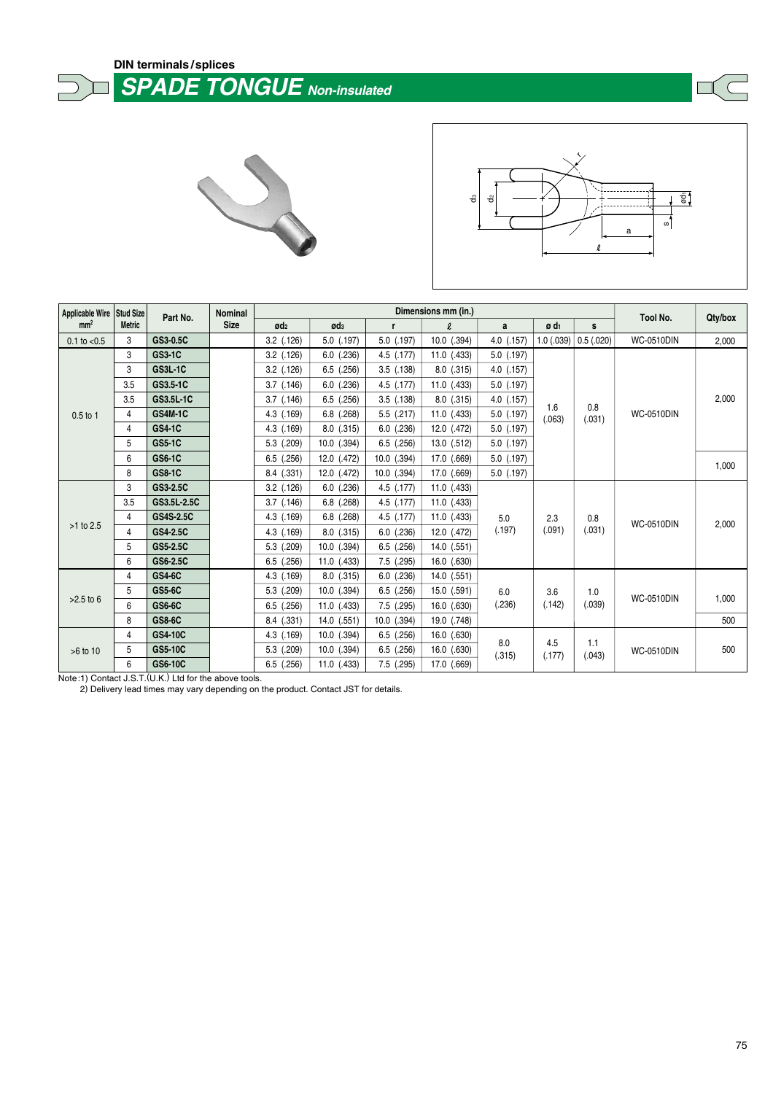## **DIN terminals /splices SPADE TONGUE Non-insulated** Ī







| <b>Applicable Wire</b> | Stud Size<br><b>Metric</b> | Part No.         | Nominal     |                 |                 | Tool No.       |                     |                                |                       |                   |                   |         |
|------------------------|----------------------------|------------------|-------------|-----------------|-----------------|----------------|---------------------|--------------------------------|-----------------------|-------------------|-------------------|---------|
| mm <sup>2</sup>        |                            |                  | <b>Size</b> | Ød <sub>2</sub> | Ød <sub>3</sub> | r              | $\boldsymbol{\ell}$ | a                              | ø d <sub>1</sub><br>s |                   |                   | Qty/box |
| $0.1$ to $< 0.5$       | 3                          | GS3-0.5C         |             | $3.2$ $(.126)$  | 5.0 (.197)      | $5.0$ $(.197)$ | 10.0 (.394)         | 4.0 (.157)                     | 1.0(0.039)            | 0.5(.020)         | <b>WC-0510DIN</b> | 2,000   |
| $0.5$ to 1             | 3                          | <b>GS3-1C</b>    |             | $3.2$ $(.126)$  | $6.0$ $(.236)$  | $4.5$ $(.177)$ | $11.0$ (.433)       | $5.0$ (.197)                   |                       |                   |                   |         |
|                        | 3                          | <b>GS3L-1C</b>   |             | $3.2$ $(.126)$  | $6.5$ $(.256)$  | $3.5$ $(.138)$ | $8.0$ $(.315)$      | $4.0$ $(.157)$                 |                       | 0.8<br>(.031)     | <b>WC-0510DIN</b> |         |
|                        | 3.5                        | GS3.5-1C         |             | $3.7$ $(.146)$  | $6.0$ $(.236)$  | $4.5$ $(.177)$ | $11.0$ (.433)       | $5.0$ (.197)                   | 1.6<br>(.063)         |                   |                   | 2,000   |
|                        | 3.5                        | GS3.5L-1C        |             | $3.7$ $(.146)$  | $6.5$ $(.256)$  | $3.5$ $(.138)$ | $8.0$ $(.315)$      | $4.0$ $(.157)$                 |                       |                   |                   |         |
|                        | 4                          | <b>GS4M-1C</b>   |             | $4.3$ $(.169)$  | $6.8$ $(.268)$  | $5.5$ $(.217)$ | 11.0 (.433)         | 5.0 (.197)                     |                       |                   |                   |         |
|                        | 4                          | <b>GS4-1C</b>    |             | $4.3$ $(.169)$  | $8.0$ $(.315)$  | $6.0$ $(.236)$ | 12.0 (.472)         | $5.0$ (.197)                   |                       |                   |                   |         |
|                        | 5                          | <b>GS5-1C</b>    |             | $5.3$ $(.209)$  | 10.0 (.394)     | $6.5$ $(.256)$ | $13.0$ $(.512)$     | $5.0$ (.197)                   |                       |                   |                   |         |
|                        | 6                          | <b>GS6-1C</b>    |             | $6.5$ $(.256)$  | 12.0 (.472)     | 10.0 (.394)    | 17.0 (.669)         | $5.0$ (.197)                   |                       |                   |                   | 1,000   |
|                        | 8                          | <b>GS8-1C</b>    |             | 8.4 (.331)      | 12.0 (.472)     | 10.0 (.394)    | 17.0 (.669)         | $5.0$ (.197)                   |                       |                   |                   |         |
|                        | 3                          | GS3-2.5C         |             | $3.2$ $(.126)$  | $6.0$ $(.236)$  | $4.5$ $(.177)$ | $11.0$ $(.433)$     | 2.3<br>5.0<br>(.091)<br>(.197) |                       |                   |                   |         |
|                        | 3.5                        | GS3.5L-2.5C      |             | $3.7$ $(.146)$  | $6.8$ $(.268)$  | $4.5$ $(.177)$ | $11.0$ (.433)       |                                |                       |                   |                   |         |
|                        | 4                          | <b>GS4S-2.5C</b> |             | 4.3 (.169)      | $6.8$ $(.268)$  | $4.5$ $(.177)$ | $11.0$ (.433)       |                                | 0.8                   | <b>WC-0510DIN</b> | 2,000             |         |
| $>1$ to 2.5            | 4                          | GS4-2.5C         |             | 4.3 (.169)      | $8.0$ $(.315)$  | $6.0$ $(.236)$ | 12.0 (.472)         |                                |                       | (.031)            |                   |         |
|                        | 5                          | GS5-2.5C         |             | $5.3$ $(.209)$  | $10.0$ $(.394)$ | $6.5$ $(.256)$ | $14.0$ $(.551)$     |                                |                       |                   |                   |         |
|                        | 6                          | GS6-2.5C         |             | $6.5$ $(.256)$  | 11.0 (.433)     | $7.5$ $(.295)$ | $16.0$ $(.630)$     |                                |                       |                   |                   |         |
|                        | 4                          | <b>GS4-6C</b>    |             | 4.3 (.169)      | $8.0$ $(.315)$  | $6.0$ $(.236)$ | 14.0 (.551)         | 6.0<br>(.236)                  | 3.6<br>(.142)         |                   |                   |         |
| $>2.5$ to 6            | 5                          | <b>GS5-6C</b>    |             | $5.3$ $(.209)$  | $10.0$ $(.394)$ | $6.5$ $(.256)$ | 15.0 (.591)         |                                |                       | 1.0<br>(.039)     |                   |         |
|                        | 6                          | GS6-6C           |             | $6.5$ $(.256)$  | 11.0 (.433)     | 7.5 (.295)     | 16.0 (.630)         |                                |                       |                   | <b>WC-0510DIN</b> | 1,000   |
|                        | 8                          | <b>GS8-6C</b>    |             | 8.4 (.331)      | 14.0 (.551)     | 10.0 (.394)    | 19.0 (.748)         |                                |                       |                   |                   | 500     |
|                        | 4                          | GS4-10C          |             | 4.3 (.169)      | 10.0 (.394)     | $6.5$ $(.256)$ | $16.0$ $(.630)$     |                                |                       |                   |                   |         |
| >6 to 10               | 5                          | <b>GS5-10C</b>   |             | $5.3$ $(.209)$  | 10.0 (.394)     | $6.5$ $(.256)$ | 16.0 (.630)         | 8.0<br>(.315)                  | 4.5<br>(.177)         | 1.1<br>(.043)     | <b>WC-0510DIN</b> | 500     |
|                        | 6                          | GS6-10C          |             | $6.5$ $(.256)$  | $11.0$ (.433)   | $7.5$ (.295)   | 17.0 (.669)         |                                |                       |                   |                   |         |

Note:1) Contact J.S.T.(U.K.) Ltd for the above tools.

2) Delivery lead times may vary depending on the product. Contact JST for details.